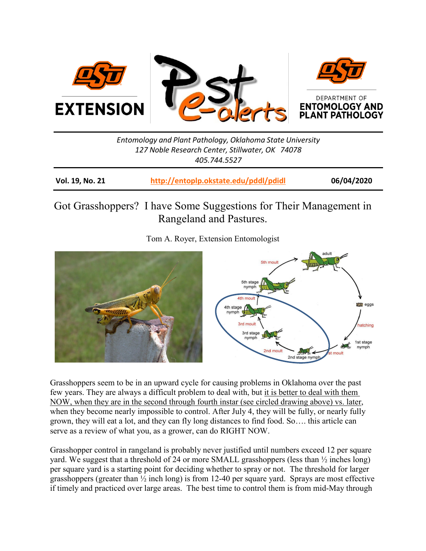<span id="page-0-0"></span>

## *Entomology and Plant Pathology, Oklahoma State University 127 Noble Research Center, Stillwater, OK 74078 405.744.5527*

| Vol. 19, No. 21 | http://entoplp.okstate.edu/pddl/pdidl | 06/04/2020 |
|-----------------|---------------------------------------|------------|
|-----------------|---------------------------------------|------------|

## Got Grasshoppers? I have Some Suggestions for Their Management in Rangeland and Pastures.

Tom A. Royer, Extension Entomologist



Grasshoppers seem to be in an upward cycle for causing problems in Oklahoma over the past few years. They are always a difficult problem to deal with, but it is better to deal with them NOW, when they are in the second through fourth instar (see circled drawing above) vs. later, when they become nearly impossible to control. After July 4, they will be fully, or nearly fully grown, they will eat a lot, and they can fly long distances to find food. So…. this article can serve as a review of what you, as a grower, can do RIGHT NOW.

Grasshopper control in rangeland is probably never justified until numbers exceed 12 per square yard. We suggest that a threshold of 24 or more SMALL grasshoppers (less than ½ inches long) per square yard is a starting point for deciding whether to spray or not. The threshold for larger grasshoppers (greater than  $\frac{1}{2}$  inch long) is from 12-40 per square yard. Sprays are most effective if timely and practiced over large areas. The best time to control them is from mid-May through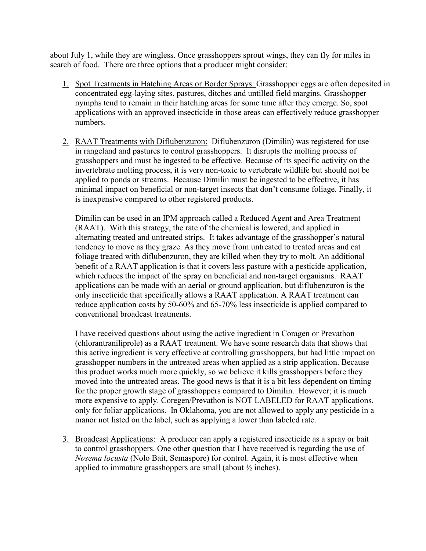about July 1, while they are wingless. Once grasshoppers sprout wings, they can fly for miles in search of food. There are three options that a producer might consider:

- 1. Spot Treatments in Hatching Areas or Border Sprays: Grasshopper eggs are often deposited in concentrated egg-laying sites, pastures, ditches and untilled field margins. Grasshopper nymphs tend to remain in their hatching areas for some time after they emerge. So, spot applications with an approved insecticide in those areas can effectively reduce grasshopper numbers.
- 2. RAAT Treatments with Diflubenzuron: Diflubenzuron (Dimilin) was registered for use in rangeland and pastures to control grasshoppers. It disrupts the molting process of grasshoppers and must be ingested to be effective. Because of its specific activity on the invertebrate molting process, it is very non-toxic to vertebrate wildlife but should not be applied to ponds or streams. Because Dimilin must be ingested to be effective, it has minimal impact on beneficial or non-target insects that don't consume foliage. Finally, it is inexpensive compared to other registered products.

Dimilin can be used in an IPM approach called a Reduced Agent and Area Treatment (RAAT). With this strategy, the rate of the chemical is lowered, and applied in alternating treated and untreated strips. It takes advantage of the grasshopper's natural tendency to move as they graze. As they move from untreated to treated areas and eat foliage treated with diflubenzuron, they are killed when they try to molt. An additional benefit of a RAAT application is that it covers less pasture with a pesticide application, which reduces the impact of the spray on beneficial and non-target organisms. RAAT applications can be made with an aerial or ground application, but diflubenzuron is the only insecticide that specifically allows a RAAT application. A RAAT treatment can reduce application costs by 50-60% and 65-70% less insecticide is applied compared to conventional broadcast treatments.

I have received questions about using the active ingredient in Coragen or Prevathon (chlorantraniliprole) as a RAAT treatment. We have some research data that shows that this active ingredient is very effective at controlling grasshoppers, but had little impact on grasshopper numbers in the untreated areas when applied as a strip application. Because this product works much more quickly, so we believe it kills grasshoppers before they moved into the untreated areas. The good news is that it is a bit less dependent on timing for the proper growth stage of grasshoppers compared to Dimilin. However; it is much more expensive to apply. Coregen/Prevathon is NOT LABELED for RAAT applications, only for foliar applications. In Oklahoma, you are not allowed to apply any pesticide in a manor not listed on the label, such as applying a lower than labeled rate.

3. Broadcast Applications: A producer can apply a registered insecticide as a spray or bait to control grasshoppers. One other question that I have received is regarding the use of *Nosema locusta* (Nolo Bait, Semaspore) for control. Again, it is most effective when applied to immature grasshoppers are small (about ½ inches).